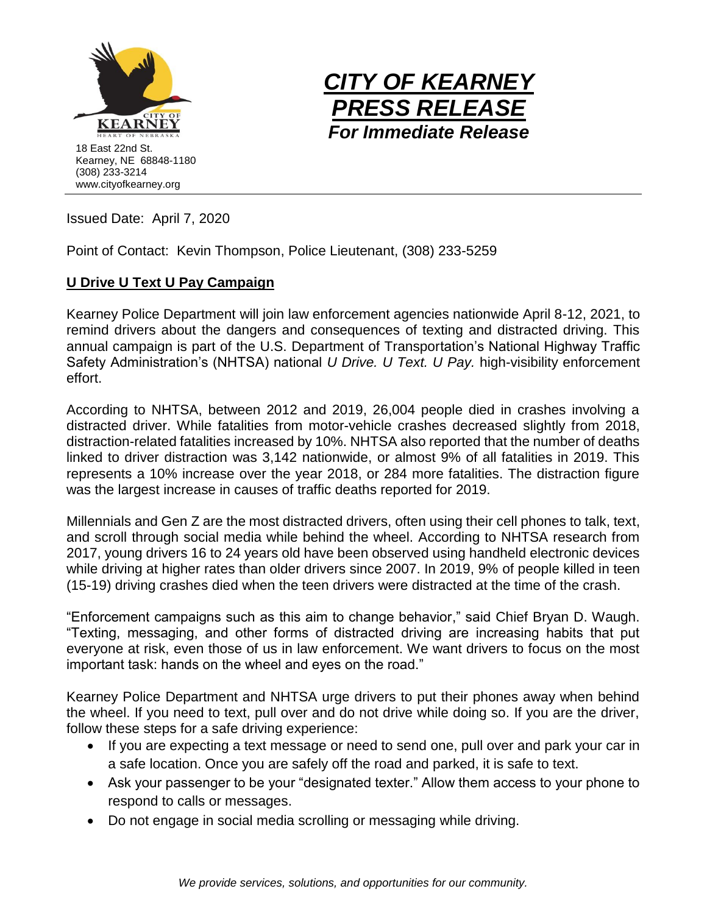



Issued Date: April 7, 2020

Point of Contact: Kevin Thompson, Police Lieutenant, (308) 233-5259

## **U Drive U Text U Pay Campaign**

Kearney Police Department will join law enforcement agencies nationwide April 8-12, 2021, to remind drivers about the dangers and consequences of texting and distracted driving. This annual campaign is part of the U.S. Department of Transportation's National Highway Traffic Safety Administration's (NHTSA) national *U Drive. U Text. U Pay.* high-visibility enforcement effort.

According to NHTSA, between 2012 and 2019, 26,004 people died in crashes involving a distracted driver. While fatalities from motor-vehicle crashes decreased slightly from 2018, distraction-related fatalities increased by 10%. NHTSA also reported that the number of deaths linked to driver distraction was 3,142 nationwide, or almost 9% of all fatalities in 2019. This represents a 10% increase over the year 2018, or 284 more fatalities. The distraction figure was the largest increase in causes of traffic deaths reported for 2019.

Millennials and Gen Z are the most distracted drivers, often using their cell phones to talk, text, and scroll through social media while behind the wheel. According to NHTSA research from 2017, young drivers 16 to 24 years old have been observed using handheld electronic devices while driving at higher rates than older drivers since 2007. In 2019, 9% of people killed in teen (15-19) driving crashes died when the teen drivers were distracted at the time of the crash.

"Enforcement campaigns such as this aim to change behavior," said Chief Bryan D. Waugh. "Texting, messaging, and other forms of distracted driving are increasing habits that put everyone at risk, even those of us in law enforcement. We want drivers to focus on the most important task: hands on the wheel and eyes on the road."

Kearney Police Department and NHTSA urge drivers to put their phones away when behind the wheel. If you need to text, pull over and do not drive while doing so. If you are the driver, follow these steps for a safe driving experience:

- If you are expecting a text message or need to send one, pull over and park your car in a safe location. Once you are safely off the road and parked, it is safe to text.
- Ask your passenger to be your "designated texter." Allow them access to your phone to respond to calls or messages.
- Do not engage in social media scrolling or messaging while driving.